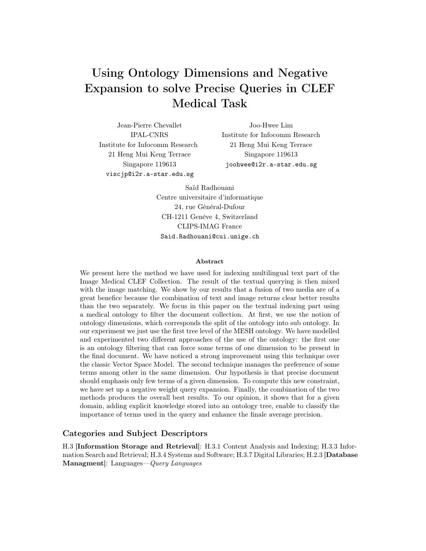# Using Ontology Dimensions and Negative Expansion to solve Precise Queries in CLEF Medical Task

Jean-Pierre Chevallet IPAL-CNRS Institute for Infocomm Research 21 Heng Mui Keng Terrace Singapore 119613 viscjp@i2r.a-star.edu.sg

Joo-Hwee Lim Institute for Infocomm Research 21 Heng Mui Keng Terrace Singapore 119613 joohwee@i2r.a-star.edu.sg

Saïd Radhouani Centre universitaire d'informatique 24, rue Général-Dufour CH-1211 Genève 4, Switzerland CLIPS-IMAG France Said.Radhouani@cui.unige.ch

#### Abstract

We present here the method we have used for indexing multilingual text part of the Image Medical CLEF Collection. The result of the textual querying is then mixed with the image matching. We show by our results that a fusion of two media are of a great benefice because the combination of text and image returns clear better results than the two separately. We focus in this paper on the textual indexing part using a medical ontology to filter the document collection. At first, we use the notion of ontology dimensions, which corresponds the split of the ontology into sub ontology. In our experiment we just use the first tree level of the MESH ontology. We have modelled and experimented two different approaches of the use of the ontology: the first one is an ontology filtering that can force some terms of one dimension to be present in the final document. We have noticed a strong improvement using this technique over the classic Vector Space Model. The second technique manages the preference of some terms among other in the same dimension. Our hypothesis is that precise document should emphasis only few terms of a given dimension. To compute this new constraint, we have set up a negative weight query expansion. Finally, the combination of the two methods produces the overall best results. To our opinion, it shows that for a given domain, adding explicit knowledge stored into an ontology tree, enable to classify the importance of terms used in the query and enhance the finale average precision.

### Categories and Subject Descriptors

H.3 [Information Storage and Retrieval]: H.3.1 Content Analysis and Indexing; H.3.3 Information Search and Retrieval; H.3.4 Systems and Software; H.3.7 Digital Libraries; H.2.3 [Database Managment]: Languages—*Query Languages*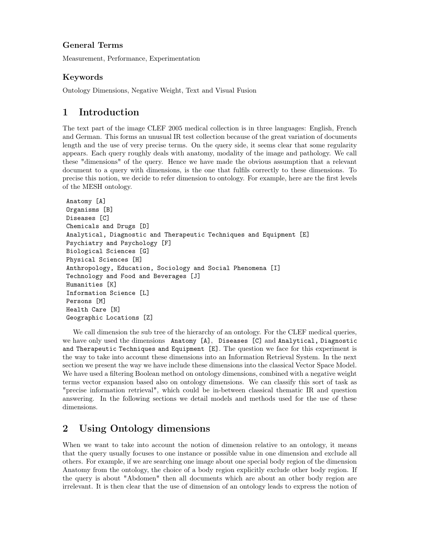### General Terms

Measurement, Performance, Experimentation

### Keywords

Ontology Dimensions, Negative Weight, Text and Visual Fusion

# 1 Introduction

The text part of the image CLEF 2005 medical collection is in three languages: English, French and German. This forms an unusual IR test collection because of the great variation of documents length and the use of very precise terms. On the query side, it seems clear that some regularity appears. Each query roughly deals with anatomy, modality of the image and pathology. We call these "dimensions" of the query. Hence we have made the obvious assumption that a relevant document to a query with dimensions, is the one that fulfils correctly to these dimensions. To precise this notion, we decide to refer dimension to ontology. For example, here are the first levels of the MESH ontology.

```
Anatomy [A]
Organisms [B]
Diseases [C]
Chemicals and Drugs [D]
Analytical, Diagnostic and Therapeutic Techniques and Equipment [E]
Psychiatry and Psychology [F]
Biological Sciences [G]
Physical Sciences [H]
Anthropology, Education, Sociology and Social Phenomena [I]
Technology and Food and Beverages [J]
Humanities [K]
Information Science [L]
Persons [M]
Health Care [N]
Geographic Locations [Z]
```
We call dimension the sub tree of the hierarchy of an ontology. For the CLEF medical queries, we have only used the dimensions Anatomy [A], Diseases [C] and Analytical, Diagnostic and Therapeutic Techniques and Equipment [E]. The question we face for this experiment is the way to take into account these dimensions into an Information Retrieval System. In the next section we present the way we have include these dimensions into the classical Vector Space Model. We have used a filtering Boolean method on ontology dimensions, combined with a negative weight terms vector expansion based also on ontology dimensions. We can classify this sort of task as "precise information retrieval", which could be in-between classical thematic IR and question answering. In the following sections we detail models and methods used for the use of these dimensions.

# 2 Using Ontology dimensions

When we want to take into account the notion of dimension relative to an ontology, it means that the query usually focuses to one instance or possible value in one dimension and exclude all others. For example, if we are searching one image about one special body region of the dimension Anatomy from the ontology, the choice of a body region explicitly exclude other body region. If the query is about "Abdomen" then all documents which are about an other body region are irrelevant. It is then clear that the use of dimension of an ontology leads to express the notion of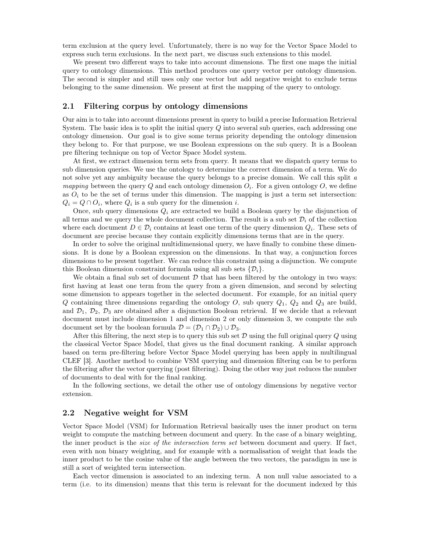term exclusion at the query level. Unfortunately, there is no way for the Vector Space Model to express such term exclusions. In the next part, we discuss such extensions to this model.

We present two different ways to take into account dimensions. The first one maps the initial query to ontology dimensions. This method produces one query vector per ontology dimension. The second is simpler and still uses only one vector but add negative weight to exclude terms belonging to the same dimension. We present at first the mapping of the query to ontology.

### 2.1 Filtering corpus by ontology dimensions

Our aim is to take into account dimensions present in query to build a precise Information Retrieval System. The basic idea is to split the initial query *Q* into several sub queries, each addressing one ontology dimension. Our goal is to give some terms priority depending the ontology dimension they belong to. For that purpose, we use Boolean expressions on the sub query. It is a Boolean pre filtering technique on top of Vector Space Model system.

At first, we extract dimension term sets from query. It means that we dispatch query terms to sub dimension queries. We use the ontology to determine the correct dimension of a term. We do not solve yet any ambiguity because the query belongs to a precise domain. We call this split *a mapping* between the query *Q* and each ontology dimension  $O_i$ . For a given ontology  $O$ , we define as  $O_i$  to be the set of terms under this dimension. The mapping is just a term set intersection:  $Q_i = Q \cap O_i$ , where  $Q_i$  is a sub query for the dimension *i*.

Once, sub query dimensions  $Q_i$  are extracted we build a Boolean query by the disjunction of all terms and we query the whole document collection. The result is a sub set  $\mathcal{D}_i$  of the collection where each document  $D \in \mathcal{D}_i$  contains at least one term of the query dimension  $Q_i$ . These sets of document are precise because they contain explicitly dimensions terms that are in the query.

In order to solve the original multidimensional query, we have finally to combine these dimensions. It is done by a Boolean expression on the dimensions. In that way, a conjunction forces dimensions to be present together. We can reduce this constraint using a disjunction. We compute this Boolean dimension constraint formula using all sub sets  $\{\mathcal{D}_i\}.$ 

We obtain a final sub set of document  $\mathcal D$  that has been filtered by the ontology in two ways: first having at least one term from the query from a given dimension, and second by selecting some dimension to appears together in the selected document. For example, for an initial query *Q* containing three dimensions regarding the ontology *O*, sub query *Q*1, *Q*<sup>2</sup> and *Q*<sup>3</sup> are build, and  $\mathcal{D}_1$ ,  $\mathcal{D}_2$ ,  $\mathcal{D}_3$  are obtained after a disjunction Boolean retrieval. If we decide that a relevant document must include dimension 1 and dimension 2 or only dimension 3, we compute the sub document set by the boolean formula  $\mathcal{D} = (\mathcal{D}_1 \cap \mathcal{D}_2) \cup \mathcal{D}_3$ .

After this filtering, the next step is to query this sub set D using the full original query *Q* using the classical Vector Space Model, that gives us the final document ranking. A similar approach based on term pre-filtering before Vector Space Model querying has been apply in multilingual CLEF [3]. Another method to combine VSM querying and dimension filtering can be to perform the filtering after the vector querying (post filtering). Doing the other way just reduces the number of documents to deal with for the final ranking.

In the following sections, we detail the other use of ontology dimensions by negative vector extension.

### 2.2 Negative weight for VSM

Vector Space Model (VSM) for Information Retrieval basically uses the inner product on term weight to compute the matching between document and query. In the case of a binary weighting, the inner product is the *size of the intersection term set* between document and query. If fact, even with non binary weighting, and for example with a normalisation of weight that leads the inner product to be the cosine value of the angle between the two vectors, the paradigm in use is still a sort of weighted term intersection.

Each vector dimension is associated to an indexing term. A non null value associated to a term (i.e. to its dimension) means that this term is relevant for the document indexed by this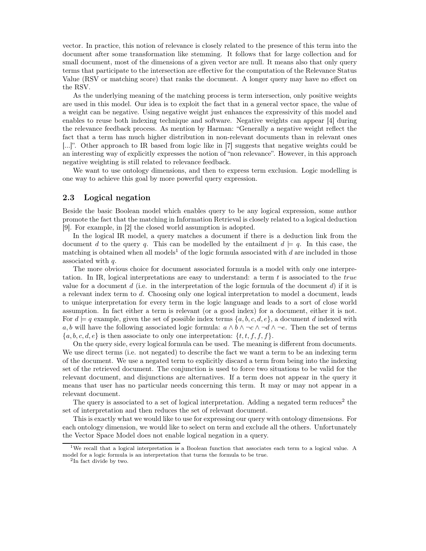vector. In practice, this notion of relevance is closely related to the presence of this term into the document after some transformation like stemming. It follows that for large collection and for small document, most of the dimensions of a given vector are null. It means also that only query terms that participate to the intersection are effective for the computation of the Relevance Status Value (RSV or matching score) that ranks the document. A longer query may have no effect on the RSV.

As the underlying meaning of the matching process is term intersection, only positive weights are used in this model. Our idea is to exploit the fact that in a general vector space, the value of a weight can be negative. Using negative weight just enhances the expressivity of this model and enables to reuse both indexing technique and software. Negative weights can appear [4] during the relevance feedback process. As mention by Harman: "Generally a negative weight reflect the fact that a term has much higher distribution in non-relevant documents than in relevant ones [...]". Other approach to IR based from logic like in [7] suggests that negative weights could be an interesting way of explicitly expresses the notion of "non relevance". However, in this approach negative weighting is still related to relevance feedback.

We want to use ontology dimensions, and then to express term exclusion. Logic modelling is one way to achieve this goal by more powerful query expression.

### 2.3 Logical negation

Beside the basic Boolean model which enables query to be any logical expression, some author promote the fact that the matching in Information Retrieval is closely related to a logical deduction [9]. For example, in [2] the closed world assumption is adopted.

In the logical IR model, a query matches a document if there is a deduction link from the document *d* to the query *q*. This can be modelled by the entailment  $d \models q$ . In this case, the matching is obtained when all models<sup>1</sup> of the logic formula associated with  $d$  are included in those associated with *q*.

The more obvious choice for document associated formula is a model with only one interpretation. In IR, logical interpretations are easy to understand: a term *t* is associated to the *true* value for a document *d* (i.e. in the interpretation of the logic formula of the document *d*) if it is a relevant index term to *d*. Choosing only one logical interpretation to model a document, leads to unique interpretation for every term in the logic language and leads to a sort of close world assumption. In fact either a term is relevant (or a good index) for a document, either it is not. For  $d \models q$  example, given the set of possible index terms  $\{a, b, c, d, e\}$ , a document *d* indexed with *a, b* will have the following associated logic formula:  $a \wedge b \wedge \neg c \wedge \neg d \wedge \neg e$ . Then the set of terms  ${a, b, c, d, e}$  is then associate to only one interpretation:  ${t, t, f, f, f}$ .

On the query side, every logical formula can be used. The meaning is different from documents. We use direct terms (i.e. not negated) to describe the fact we want a term to be an indexing term of the document. We use a negated term to explicitly discard a term from being into the indexing set of the retrieved document. The conjunction is used to force two situations to be valid for the relevant document, and disjunctions are alternatives. If a term does not appear in the query it means that user has no particular needs concerning this term. It may or may not appear in a relevant document.

The query is associated to a set of logical interpretation. Adding a negated term reduces<sup>2</sup> the set of interpretation and then reduces the set of relevant document.

This is exactly what we would like to use for expressing our query with ontology dimensions. For each ontology dimension, we would like to select on term and exclude all the others. Unfortunately the Vector Space Model does not enable logical negation in a query.

<sup>&</sup>lt;sup>1</sup>We recall that a logical interpretation is a Boolean function that associates each term to a logical value. A model for a logic formula is an interpretation that turns the formula to be true.

<sup>2</sup>In fact divide by two.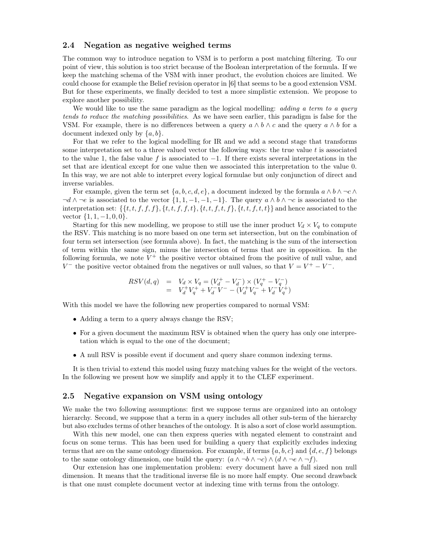### 2.4 Negation as negative weighed terms

The common way to introduce negation to VSM is to perform a post matching filtering. To our point of view, this solution is too strict because of the Boolean interpretation of the formula. If we keep the matching schema of the VSM with inner product, the evolution choices are limited. We could choose for example the Belief revision operator in [6] that seems to be a good extension VSM. But for these experiments, we finally decided to test a more simplistic extension. We propose to explore another possibility.

We would like to use the same paradigm as the logical modelling: *adding a term to a query tends to reduce the matching possibilities*. As we have seen earlier, this paradigm is false for the VSM. For example, there is no differences between a query  $a \wedge b \wedge c$  and the query  $a \wedge b$  for a document indexed only by {*a, b*}.

For that we refer to the logical modelling for IR and we add a second stage that transforms some interpretation set to a three valued vector the following ways: the true value *t* is associated to the value 1, the false value *f* is associated to −1. If there exists several interpretations in the set that are identical except for one value then we associated this interpretation to the value 0. In this way, we are not able to interpret every logical formulae but only conjunction of direct and inverse variables.

For example, given the term set  $\{a, b, c, d, e\}$ , a document indexed by the formula  $a \wedge b \wedge \neg c \wedge$  $\neg d \wedge \neg e$  is associated to the vector  $\{1, 1, -1, -1, -1\}$ . The query  $a \wedge b \wedge \neg c$  is associated to the interpretation set:  $\{\{t, t, f, f, f\}, \{t, t, f, f, t\}, \{t, t, f, t, f\}, \{t, t, f, t, t\}\}\$  and hence associated to the vector {1*,* 1*,* −1*,* 0*,* 0}.

Starting for this new modelling, we propose to still use the inner product  $V_d \times V_q$  to compute the RSV. This matching is no more based on one term set intersection, but on the combination of four term set intersection (see formula above). In fact, the matching is the sum of the intersection of term within the same sign, minus the intersection of terms that are in opposition. In the following formula, we note  $V^+$  the positive vector obtained from the positive of null value, and *V*<sup>−</sup> the positive vector obtained from the negatives or null values, so that  $V = V^+ - V^-$ .

$$
RSV(d,q) = V_d \times V_q = (V_d^+ - V_d^-) \times (V_q^+ - V_q^-)
$$
  
=  $V_d^+ V_q^+ + V_d^- V^- - (V_d^+ V_q^- + V_d^- V_q^+)$ 

With this model we have the following new properties compared to normal VSM:

- Adding a term to a query always change the RSV;
- For a given document the maximum RSV is obtained when the query has only one interpretation which is equal to the one of the document;
- A null RSV is possible event if document and query share common indexing terms.

It is then trivial to extend this model using fuzzy matching values for the weight of the vectors. In the following we present how we simplify and apply it to the CLEF experiment.

#### 2.5 Negative expansion on VSM using ontology

We make the two following assumptions: first we suppose terms are organized into an ontology hierarchy. Second, we suppose that a term in a query includes all other sub-term of the hierarchy but also excludes terms of other branches of the ontology. It is also a sort of close world assumption.

With this new model, one can then express queries with negated element to constraint and focus on some terms. This has been used for building a query that explicitly excludes indexing terms that are on the same ontology dimension. For example, if terms {*a, b, c*} and {*d, e, f*} belongs to the same ontology dimension, one build the query:  $(a \land \neg b \land \neg c) \land (d \land \neg e \land \neg f)$ .

Our extension has one implementation problem: every document have a full sized non null dimension. It means that the traditional inverse file is no more half empty. One second drawback is that one must complete document vector at indexing time with terms from the ontology.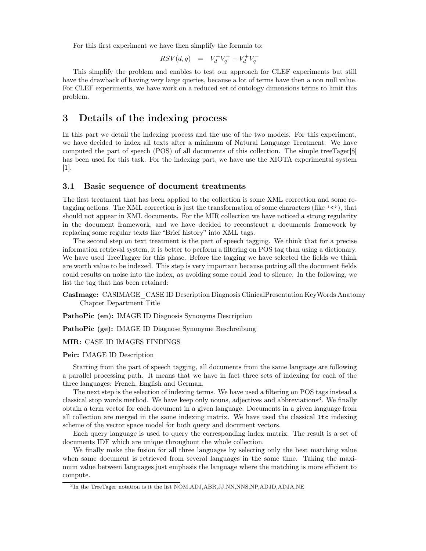For this first experiment we have then simplify the formula to:

$$
RSV(d,q)\ \ =\ \ V_d^+V_q^+ - V_d^+V_q^-
$$

This simplify the problem and enables to test our approach for CLEF experiments but still have the drawback of having very large queries, because a lot of terms have then a non null value. For CLEF experiments, we have work on a reduced set of ontology dimensions terms to limit this problem.

### 3 Details of the indexing process

In this part we detail the indexing process and the use of the two models. For this experiment, we have decided to index all texts after a minimum of Natural Language Treatment. We have computed the part of speech (POS) of all documents of this collection. The simple treeTager[8] has been used for this task. For the indexing part, we have use the XIOTA experimental system  $|1|$ .

### 3.1 Basic sequence of document treatments

The first treatment that has been applied to the collection is some XML correction and some retagging actions. The XML correction is just the transformation of some characters (like '<'), that should not appear in XML documents. For the MIR collection we have noticed a strong regularity in the document framework, and we have decided to reconstruct a documents framework by replacing some regular texts like "Brief history" into XML tags.

The second step on text treatment is the part of speech tagging. We think that for a precise information retrieval system, it is better to perform a filtering on POS tag than using a dictionary. We have used TreeTagger for this phase. Before the tagging we have selected the fields we think are worth value to be indexed. This step is very important because putting all the document fields could results on noise into the index, as avoiding some could lead to silence. In the following, we list the tag that has been retained:

CasImage: CASIMAGE\_CASE ID Description Diagnosis ClinicalPresentation KeyWords Anatomy Chapter Department Title

PathoPic (en): IMAGE ID Diagnosis Synonyms Description

PathoPic (ge): IMAGE ID Diagnose Synonyme Beschreibung

#### MIR: CASE ID IMAGES FINDINGS

### Peir: IMAGE ID Description

Starting from the part of speech tagging, all documents from the same language are following a parallel processing path. It means that we have in fact three sets of indexing for each of the three languages: French, English and German.

The next step is the selection of indexing terms. We have used a filtering on POS tags instead a classical stop words method. We have keep only nouns, adjectives and abbreviations<sup>3</sup>. We finally obtain a term vector for each document in a given language. Documents in a given language from all collection are merged in the same indexing matrix. We have used the classical ltc indexing scheme of the vector space model for both query and document vectors.

Each query language is used to query the corresponding index matrix. The result is a set of documents IDF which are unique throughout the whole collection.

We finally make the fusion for all three languages by selecting only the best matching value when same document is retrieved from several languages in the same time. Taking the maximum value between languages just emphasis the language where the matching is more efficient to compute.

<sup>3</sup>In the TreeTager notation is it the list NOM,ADJ,ABR,JJ,NN,NNS,NP,ADJD,ADJA,NE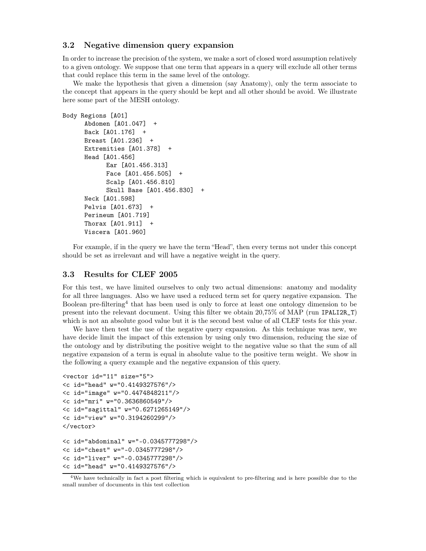### 3.2 Negative dimension query expansion

In order to increase the precision of the system, we make a sort of closed word assumption relatively to a given ontology. We suppose that one term that appears in a query will exclude all other terms that could replace this term in the same level of the ontology.

We make the hypothesis that given a dimension (say Anatomy), only the term associate to the concept that appears in the query should be kept and all other should be avoid. We illustrate here some part of the MESH ontology.

```
Body Regions [A01]
     Abdomen [A01.047] +
     Back [A01.176] +
     Breast [A01.236] +
     Extremities [A01.378] +
     Head [A01.456]
           Ear [A01.456.313]
           Face [A01.456.505] +
            Scalp [A01.456.810]
            Skull Base [A01.456.830] +
     Neck [A01.598]
     Pelvis [A01.673] +
     Perineum [A01.719]
     Thorax [A01.911] +
     Viscera [A01.960]
```
For example, if in the query we have the term "Head", then every terms not under this concept should be set as irrelevant and will have a negative weight in the query.

#### 3.3 Results for CLEF 2005

For this test, we have limited ourselves to only two actual dimensions: anatomy and modality for all three languages. Also we have used a reduced term set for query negative expansion. The Boolean pre-filtering<sup>4</sup> that has been used is only to force at least one ontology dimension to be present into the relevant document. Using this filter we obtain 20,75% of MAP (run IPALI2R\_T) which is not an absolute good value but it is the second best value of all CLEF tests for this year.

We have then test the use of the negative query expansion. As this technique was new, we have decide limit the impact of this extension by using only two dimension, reducing the size of the ontology and by distributing the positive weight to the negative value so that the sum of all negative expansion of a term is equal in absolute value to the positive term weight. We show in the following a query example and the negative expansion of this query.

```
<vector id="11" size="5">
<c id="head" w="0.4149327576"/>
<c id="image" w="0.4474848211"/>
<c id="mri" w="0.3636860549"/>
<c id="sagittal" w="0.6271265149"/>
<c id="view" w="0.3194260299"/>
</vector>
<c id="abdominal" w="-0.0345777298"/>
<c id="chest" w="-0.0345777298"/>
<c id="liver" w="-0.0345777298"/>
<c id="head" w="0.4149327576"/>
```
<sup>4</sup>We have technically in fact a post filtering which is equivalent to pre-filtering and is here possible due to the small number of documents in this test collection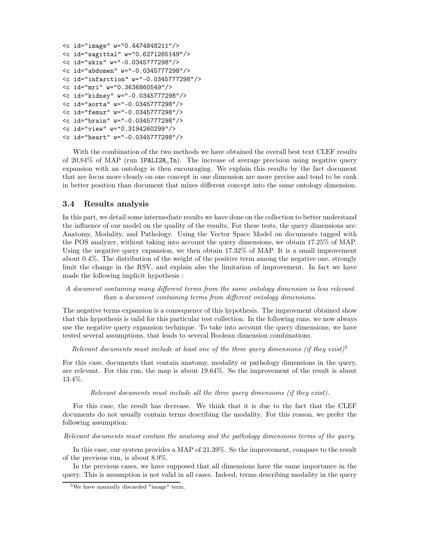```
<c id="image" w="0.4474848211"/>
<c id="sagittal" w="0.6271265149"/>
<c id="skin" w="-0.0345777298"/>
<c id="abdomen" w="-0.0345777298"/>
<c id="infarction" w="-0.0345777298"/>
<c id="mri" w="0.3636860549"/>
<c id="kidney" w="-0.0345777298"/>
<c id="aorta" w="-0.0345777298"/>
<c id="femur" w="-0.0345777298"/>
<c id="brain" w="-0.0345777298"/>
<c id="view" w="0.3194260299"/>
<c id="heart" w="-0.0345777298"/>
```
With the combination of the two methods we have obtained the overall best text CLEF results of 20,84% of MAP (run IPALI2R\_Tn). The increase of average precision using negative query expansion with an ontology is then encouraging. We explain this results by the fact document that are focus more clearly on one concept in one dimension are more precise and tend to be rank in better position than document that mixes different concept into the same ontology dimension.

### 3.4 Results analysis

In this part, we detail some intermediate results we have done on the collection to better understand the influence of our model on the quality of the results. For these tests, the query dimensions are: Anatomy, Modality, and Pathology. Using the Vector Space Model on documents tagged with the POS analyzer, without taking into account the query dimensions, we obtain 17.25% of MAP. Using the negative query expansion, we then obtain 17.32% of MAP. It is a small improvement about 0.4%. The distribution of the weight of the positive term among the negative one, strongly limit the change in the RSV, and explain also the limitation of improvement. In fact we have made the following implicit hypothesis :

### *A document containing many different terms from the same ontology dimension is less relevant than a document containing terms from different ontology dimensions*.

The negative terms expansion is a consequence of this hypothesis. The improvment obtained show that this hypothesis is valid for this particular test collection. In the following runs, we now always use the negative query expansion technique. To take into account the query dimensions, we have tested several assumptions, that leads to several Boolean dimension combinations.

*Relevant documents must include at least one of the three query dimensions (if they exist)*<sup>5</sup>

For this case, documents that contain anatomy, modality or pathology dimensions in the query, are relevant. For this run, the map is about 19.64%. So the improvement of the result is about 13.4%.

*Relevant documents must include all the three query dimensions (if they exist).*

For this case, the result has decrease. We think that it is due to the fact that the CLEF documents do not usually contain terms describing the modality. For this reason, we prefer the following assumption:

*Relevant documents must contain the anatomy and the pathology dimensions terms of the query.*

In this case, our system provides a MAP of 21.39%. So the improvement, compare to the result of the previous run, is about 8.9%.

In the previous cases, we have supposed that all dimensions have the same importance in the query. This is assumption is not valid in all cases. Indeed, terms describing modality in the query

<sup>5</sup>We have manually discarded "image" term.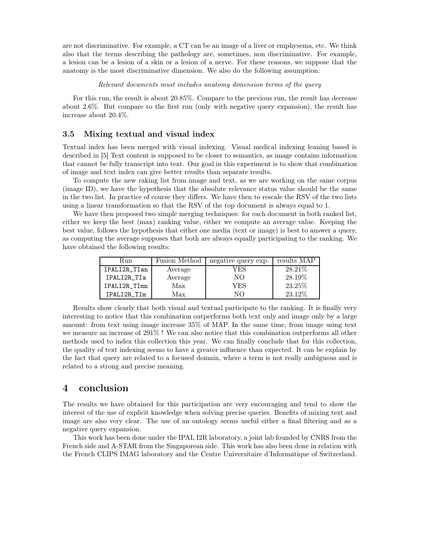are not discriminative. For example, a CT can be an image of a liver or emphysema, etc. We think also that the terms describing the pathology are, sometimes, non discriminative. For example, a lesion can be a lesion of a skin or a lesion of a nerve. For these reasons, we suppose that the anatomy is the most discriminative dimension. We also do the following assumption:

*Relevant documents must includes anatomy dimension terms of the query*

For this run, the result is about 20.85%. Compare to the previous run, the result has decrease about 2.6%. But compare to the first run (only with negative query expansion), the result has increase about 20.4%.

### 3.5 Mixing textual and visual index

Textual index has been merged with visual indexing. Visual medical indexing leaning based is described in [5] Text content is supposed to be closer to semantics, as image contains information that cannot be fully transcript into text. Our goal in this experiment is to show that combination of image and text index can give better results than separate results.

To compute the new raking list from image and text, as we are working on the same corpus (image ID), we have the hypothesis that the absolute relevance status value should be the same in the two list. In practice of course they differs. We have then to rescale the RSV of the two lists using a linear transformation so that the RSV of the top document is always equal to 1.

We have then proposed two simple merging techniques: for each document in both ranked list, either we keep the best (max) ranking value, either we compute an average value. Keeping the best value, follows the hypothesis that either one media (text or image) is best to answer a query, as computing the average supposes that both are always equally participating to the ranking. We have obtained the following results:

| Run          | <b>Fusion Method</b> | negative query exp. | results MAP |
|--------------|----------------------|---------------------|-------------|
| IPALI2R_TIan | Average              | YES                 | 28.21\%     |
| IPALI2R TIa  | Average              | NО                  | 28.19%      |
| IPALI2R_TImn | Max                  | YES                 | 23.25%      |
| IPALI2R TIm  | Max                  | NО                  | 23.12%      |

Results show clearly that both visual and textual participate to the ranking. It is finally very interesting to notice that this combination outperforms both text only and image only by a large amount: from text using image increase 35% of MAP. In the same time, from image using text we measure an increase of 291% ! We can also notice that this combination outperforms all other methods used to index this collection this year. We can finally conclude that for this collection, the quality of text indexing seems to have a greater influence than expected. It can be explain by the fact that query are related to a focused domain, where a term is not really ambiguous and is related to a strong and precise meaning.

### 4 conclusion

The results we have obtained for this participation are very encouraging and tend to show the interest of the use of explicit knowledge when solving precise queries. Benefits of mixing text and image are also very clear. The use of an ontology seems useful either a final filtering and as a negative query expansion.

This work has been done under the IPAL I2R laboratory, a joint lab founded by CNRS from the French side and A-STAR from the Singaporean side. This work has also been done in relation with the French CLIPS IMAG laboratory and the Centre Universitaire d'Informatique of Switzerland.